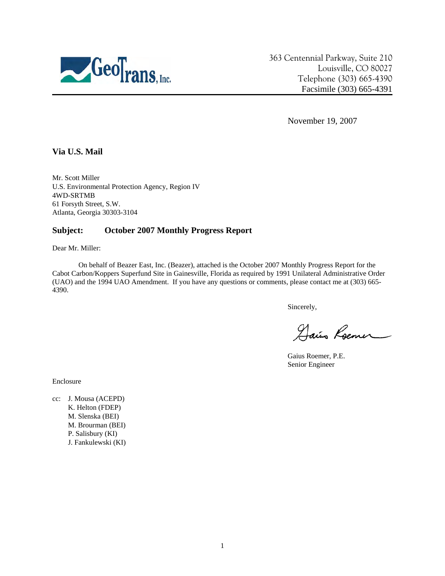

363 Centennial Parkway, Suite 210 Louisville, CO 80027 Telephone (303) 665-4390 Facsimile (303) 665-4391

November 19, 2007

## **Via U.S. Mail**

Mr. Scott Miller U.S. Environmental Protection Agency, Region IV 4WD-SRTMB 61 Forsyth Street, S.W. Atlanta, Georgia 30303-3104

## **Subject: October 2007 Monthly Progress Report**

Dear Mr. Miller:

On behalf of Beazer East, Inc. (Beazer), attached is the October 2007 Monthly Progress Report for the Cabot Carbon/Koppers Superfund Site in Gainesville, Florida as required by 1991 Unilateral Administrative Order (UAO) and the 1994 UAO Amendment. If you have any questions or comments, please contact me at (303) 665- 4390.

Sincerely,

Dais Roemer

Gaius Roemer, P.E. Senior Engineer

Enclosure

cc: J. Mousa (ACEPD) K. Helton (FDEP) M. Slenska (BEI) M. Brourman (BEI) P. Salisbury (KI) J. Fankulewski (KI)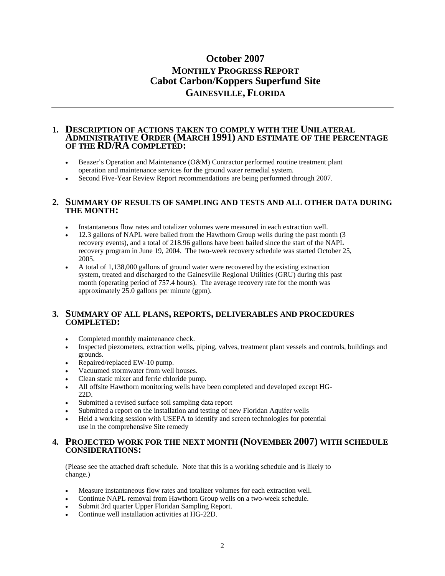# **October 2007 MONTHLY PROGRESS REPORT Cabot Carbon/Koppers Superfund Site GAINESVILLE, FLORIDA**

#### **1. DESCRIPTION OF ACTIONS TAKEN TO COMPLY WITH THE UNILATERAL ADMINISTRATIVE ORDER (MARCH 1991) AND ESTIMATE OF THE PERCENTAGE OF THE RD/RA COMPLETED:**

- Beazer's Operation and Maintenance (O&M) Contractor performed routine treatment plant operation and maintenance services for the ground water remedial system.
- Second Five-Year Review Report recommendations are being performed through 2007.

#### **2. SUMMARY OF RESULTS OF SAMPLING AND TESTS AND ALL OTHER DATA DURING THE MONTH:**

- Instantaneous flow rates and totalizer volumes were measured in each extraction well.
- 12.3 gallons of NAPL were bailed from the Hawthorn Group wells during the past month (3 recovery events), and a total of 218.96 gallons have been bailed since the start of the NAPL recovery program in June 19, 2004. The two-week recovery schedule was started October 25, 2005.
- A total of 1,138,000 gallons of ground water were recovered by the existing extraction system, treated and discharged to the Gainesville Regional Utilities (GRU) during this past month (operating period of 757.4 hours). The average recovery rate for the month was approximately 25.0 gallons per minute (gpm).

## **3. SUMMARY OF ALL PLANS, REPORTS, DELIVERABLES AND PROCEDURES COMPLETED:**

- Completed monthly maintenance check.
- Inspected piezometers, extraction wells, piping, valves, treatment plant vessels and controls, buildings and grounds.
- Repaired/replaced EW-10 pump.
- Vacuumed stormwater from well houses.
- Clean static mixer and ferric chloride pump.
- All offsite Hawthorn monitoring wells have been completed and developed except HG-22D.
- Submitted a revised surface soil sampling data report
- Submitted a report on the installation and testing of new Floridan Aquifer wells
- Held a working session with USEPA to identify and screen technologies for potential use in the comprehensive Site remedy

#### **4. PROJECTED WORK FOR THE NEXT MONTH (NOVEMBER 2007) WITH SCHEDULE CONSIDERATIONS:**

(Please see the attached draft schedule. Note that this is a working schedule and is likely to change.)

- Measure instantaneous flow rates and totalizer volumes for each extraction well.
- Continue NAPL removal from Hawthorn Group wells on a two-week schedule.
- Submit 3rd quarter Upper Floridan Sampling Report.
- Continue well installation activities at HG-22D.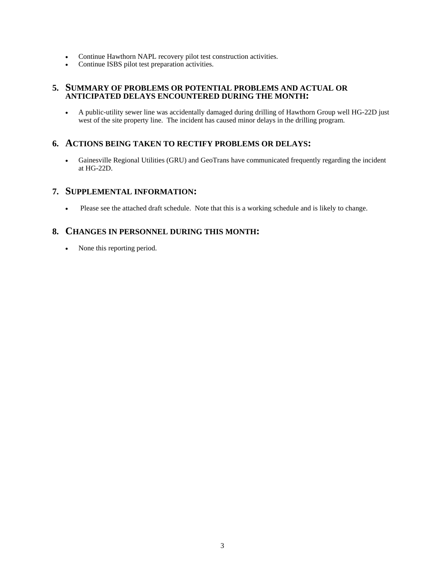- Continue Hawthorn NAPL recovery pilot test construction activities.
- Continue ISBS pilot test preparation activities.

### **5. SUMMARY OF PROBLEMS OR POTENTIAL PROBLEMS AND ACTUAL OR ANTICIPATED DELAYS ENCOUNTERED DURING THE MONTH:**

• A public-utility sewer line was accidentally damaged during drilling of Hawthorn Group well HG-22D just west of the site property line. The incident has caused minor delays in the drilling program.

# **6. ACTIONS BEING TAKEN TO RECTIFY PROBLEMS OR DELAYS:**

• Gainesville Regional Utilities (GRU) and GeoTrans have communicated frequently regarding the incident at HG-22D.

## **7. SUPPLEMENTAL INFORMATION:**

Please see the attached draft schedule. Note that this is a working schedule and is likely to change.

# **8. CHANGES IN PERSONNEL DURING THIS MONTH:**

• None this reporting period.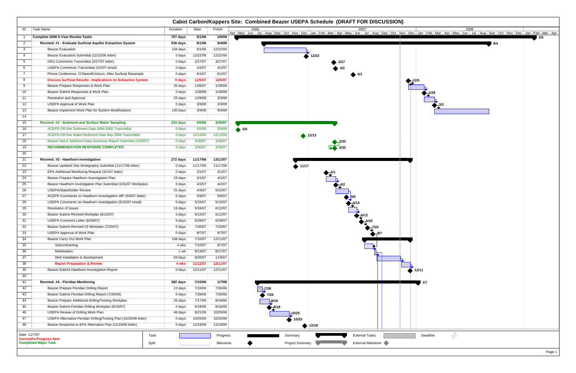|                 |                                                                      |          |          |           | Cabot Carbon/Koppers Site: Combined Beazer USEPA Schedule (DRAFT FOR DISCUSSION)                                                                                                                        |
|-----------------|----------------------------------------------------------------------|----------|----------|-----------|---------------------------------------------------------------------------------------------------------------------------------------------------------------------------------------------------------|
| ID              | Task Name                                                            | Duration | Start    | Finish    | 2006<br>2008<br>Apr   May   Jun   Jul   Aug   Sep   Oct   Nov   Dec   Jan   Feb   Mar   Apr   May   Jun   Jua   Cet   Mar   Apr   May   Jun   Jul   Aug   Sep   Oct   Nov   Dec   Jan   Feb   Mar   Apr |
|                 | Complete 2006 5-Year Review Tasks                                    | 707 days | 5/1/06   | 2/6/09    | 2/6                                                                                                                                                                                                     |
| $\mathbf{2}$    | Recmnd. #1 - Evaluate Surficial Aquifer Extraction System            | 536 days | 8/1/06   | 9/4/08    | 9/4                                                                                                                                                                                                     |
| $\overline{3}$  | <b>Beazer Evaluation</b>                                             | 104 days | 8/1/06   | 12/22/06  |                                                                                                                                                                                                         |
| $\overline{4}$  | Beazer Evaluation Submittal (12/22/06 letter)                        | 0 days   | 12/22/06 | 12/22/06  | 12/22                                                                                                                                                                                                   |
| $5\overline{)}$ | GRU Comments Transmittal (3/27/07 letter)                            | 0 days   | 3/27/07  | 3/27/07   | 3/27                                                                                                                                                                                                    |
| 6               | USEPA Comments Transmittal (4/2/07 email)                            | 0 days   | 4/2/07   | 4/2/07    |                                                                                                                                                                                                         |
| $7\overline{ }$ | Phone Conference: O'Steen/Erickson, After Surficial Resample         | 0 days   | 6/1/07   | 6/1/07    |                                                                                                                                                                                                         |
| 8               | <b>Discuss Surficial Results - Implications on Extraction System</b> | 0 days   | 12/5/07  | 12/5/07   | $-12/5$                                                                                                                                                                                                 |
| 9               | Beazer Prepare Responses & Work Plan                                 | 35 days  | 12/6/07  | 1/28/08   |                                                                                                                                                                                                         |
| 10 <sup>1</sup> | Beazer Submit Responses & Work Plan                                  | 0 days   | 1/28/08  | 1/28/08   |                                                                                                                                                                                                         |
| 11              | <b>Resolution and Approval</b>                                       | 25 days  | 1/29/08  | 3/3/08    |                                                                                                                                                                                                         |
| 12              | <b>USEPA Approval of Work Plan</b>                                   | 0 days   | 3/3/08   | 3/3/08    |                                                                                                                                                                                                         |
| 13              | Beazer Implement Work Plan for System Modifications                  | 130 days | 3/4/08   | 9/4/08    |                                                                                                                                                                                                         |
| 14              |                                                                      |          |          |           |                                                                                                                                                                                                         |
| 15              | Recmnd. #2 - Sediment and Surface Water Sampling                     | 234 days | 5/5/06   | 3/30/07   |                                                                                                                                                                                                         |
| 16              | ACEPD Off-Site Sediment Data 1994-2000 Transmittal                   | 0 days   | 5/5/06   | 5/5/06    | $\bullet$ 5/5                                                                                                                                                                                           |
| 17              | ACEPD Off-Site Water/Sediment Data Sep 2006 Transmittal              | 0 days   | 12/13/06 | 12/13/06  | $\bullet$ 12/13                                                                                                                                                                                         |
| 18              | Beazer Soil & Sediment Data Summary Report Submittal (3/30/07)       | 0 days   | 3/30/07  | 3/30/07   |                                                                                                                                                                                                         |
| 19              | <b>RECOMMENDATION RESPONSE COMPLETED</b>                             | 0 days   | 3/30/07  | 3/30/07   |                                                                                                                                                                                                         |
| 20              |                                                                      |          |          |           |                                                                                                                                                                                                         |
| 21              | Recmnd. #3 - Hawthorn Investigation                                  | 272 days | 11/17/06 | 12/11/07  |                                                                                                                                                                                                         |
| 22              | Beazer Updated Site Stratigraphy Submittal (11/17/06 letter)         | 0 days   | 11/17/06 | 11/17/06  |                                                                                                                                                                                                         |
| 23              | EPA Additional Monitoring Request (3/1/07 letter)                    | 0 days   | 3/1/07   | 3/1/07    | 411/17                                                                                                                                                                                                  |
|                 | Beazer Prepare Hawthorn Investigation Plan                           |          | 3/1/07   | 4/2/07    |                                                                                                                                                                                                         |
| 24              |                                                                      | 23 days  |          |           |                                                                                                                                                                                                         |
| 25              | Beazer Hawthorn Investigation Plan Submittal (3/31/07 Workplan)      | 0 days   | 4/2/07   | 4/2/07    |                                                                                                                                                                                                         |
| 26              | USEPA/Stakeholder Review                                             | 31 days  | 4/3/07   | 5/15/07   |                                                                                                                                                                                                         |
| 27              | ACEPD Comments on Hawthorn Investigation WP (5/9/07 letter)          | 0 days   | 5/9/07   | 5/9/07    | 5/9                                                                                                                                                                                                     |
| 28              | USEPA Comments on Hawthorn Investigation (5/15/07 email)             | 0 days   | 5/15/07  | 5/15/07   |                                                                                                                                                                                                         |
| 29              | <b>Resolution of Issues</b>                                          | 19 days  | 5/16/07  | 6/12/07   |                                                                                                                                                                                                         |
| 30              | Beazer Submit Revised Workplan (6/12/07)                             | 0 days   | 6/12/07  | 6/12/07   |                                                                                                                                                                                                         |
| 31              | USEPA Comment Letter (6/29/07)                                       | 0 days   | 6/29/07  | 6/29/07   |                                                                                                                                                                                                         |
| 32              | Beazer Submit Revised #2 Workplan (7/20/07)                          | 0 days   | 7/20/07  | 7/20/07   |                                                                                                                                                                                                         |
| 33              | USEPA Approval of Work Plan                                          | 0 days   | 8/7/07   | 8/7/07    | $\bigoplus_{1}$ 8/7                                                                                                                                                                                     |
| 34              | Beazer Carry Out Work Plan                                           | 108 days | 7/10/07  | 12/11/07  |                                                                                                                                                                                                         |
| 35              | Subcontracting                                                       | 4 wks    | 7/10/07  | 8/7/07    |                                                                                                                                                                                                         |
| 36              | Mobilization                                                         | 1 wk     | 8/13/07  | 8/17/07   |                                                                                                                                                                                                         |
| $\overline{37}$ | Well Installation & development                                      | 59 days  | 8/20/07  | 11/9/07   |                                                                                                                                                                                                         |
| 38              | <b>Report Preparation &amp; Review</b>                               | 4 wks    | 11/12/07 | 12/11/07  |                                                                                                                                                                                                         |
| 39              | Beazer Submit Hawthorn Investigation Report                          | 0 days   | 12/11/07 | 12/11/07  | 12/11                                                                                                                                                                                                   |
| 40              |                                                                      |          |          |           |                                                                                                                                                                                                         |
| 41              | Recmnd. #4 - Floridan Monitoring                                     | 382 days | 7/10/06  | 1/7/08    | 1/7                                                                                                                                                                                                     |
| 42              | Beazer Prepare Floridan Drilling Report                              | 13 days  | 7/10/06  | 7/26/06   | <sub>⊣</sub> 7/26                                                                                                                                                                                       |
| 43              | Beazer Submit Floridan Drilling Report (7/26/06)                     | 0 days   | 7/26/06  | 7/26/06   | 7/26                                                                                                                                                                                                    |
| 44              | Beazer Prepare Additional Drilling/Testing Workplan                  | 25 days  | 7/17/06  | 8/18/06   | $-8/18$                                                                                                                                                                                                 |
| 45              | Beazer Submit Floridan Drilling Workplan (8/18/07)                   | 0 days   | 8/18/06  | 8/18/06   |                                                                                                                                                                                                         |
| 46              | USEPA Review of Drilling Work Plan                                   | 48 days  | 8/21/06  | 10/25/06  | $-10/25$                                                                                                                                                                                                |
| 47              | USEPA Alternative Floridan Drilling/Testing Plan (10/25/06 letter)   | 0 days   | 10/25/06 | 10/25/06  | 10/25                                                                                                                                                                                                   |
| 48              | Beazer Response to EPA Alternative Plan (12/18/06 letter)            | 0 days   | 12/18/06 | 12/18/06  | 4 12/18                                                                                                                                                                                                 |
| Date: 11/7/07   | Task                                                                 |          |          | Progress  | $\bigcup$<br><b>External Tasks</b><br>Deadline<br>Summary                                                                                                                                               |
|                 | <b>Current/In-Progress Item</b><br><b>Completed Major Task</b>       |          |          |           |                                                                                                                                                                                                         |
|                 | Split                                                                |          |          | Milestone | External Milestone<br><b>Project Summary</b>                                                                                                                                                            |

| Feb<br>n                      | Mar                | Apr | May                     | Jun | 2008<br>Jul | Aug | Sep | Oct | $\sqrt{\frac{Nov}{\text{Dec}}}$ | $\frac{1}{\text{Jan}}$ |  | Feb   Mar   Apr<br>2/6 |
|-------------------------------|--------------------|-----|-------------------------|-----|-------------|-----|-----|-----|---------------------------------|------------------------|--|------------------------|
|                               |                    |     |                         |     |             |     | 9/4 |     |                                 |                        |  |                        |
|                               |                    |     |                         |     |             |     |     |     |                                 |                        |  |                        |
|                               |                    |     |                         |     |             |     |     |     |                                 |                        |  |                        |
|                               |                    |     |                         |     |             |     |     |     |                                 |                        |  |                        |
|                               |                    |     |                         |     |             |     |     |     |                                 |                        |  |                        |
| $\frac{1}{2}$ <sup>1/28</sup> |                    |     |                         |     |             |     |     |     |                                 |                        |  |                        |
|                               | h<br>$\frac{3}{3}$ |     |                         |     |             |     |     |     |                                 |                        |  |                        |
|                               |                    |     |                         |     |             |     |     |     |                                 |                        |  |                        |
|                               |                    |     |                         |     |             |     |     |     |                                 |                        |  |                        |
|                               |                    |     |                         |     |             |     |     |     |                                 |                        |  |                        |
|                               |                    |     |                         |     |             |     |     |     |                                 |                        |  |                        |
|                               |                    |     |                         |     |             |     |     |     |                                 |                        |  |                        |
|                               |                    |     |                         |     |             |     |     |     |                                 |                        |  |                        |
|                               |                    |     |                         |     |             |     |     |     |                                 |                        |  |                        |
|                               |                    |     |                         |     |             |     |     |     |                                 |                        |  |                        |
|                               |                    |     |                         |     |             |     |     |     |                                 |                        |  |                        |
|                               |                    |     |                         |     |             |     |     |     |                                 |                        |  |                        |
|                               |                    |     |                         |     |             |     |     |     |                                 |                        |  |                        |
|                               |                    |     |                         |     |             |     |     |     |                                 |                        |  |                        |
|                               |                    |     |                         |     |             |     |     |     |                                 |                        |  |                        |
|                               |                    |     |                         |     |             |     |     |     |                                 |                        |  |                        |
|                               |                    |     |                         |     |             |     |     |     |                                 |                        |  |                        |
|                               |                    |     |                         |     |             |     |     |     |                                 |                        |  |                        |
| 1                             |                    |     |                         |     |             |     |     |     |                                 |                        |  |                        |
| 1/7                           |                    |     |                         |     |             |     |     |     |                                 |                        |  |                        |
|                               |                    |     |                         |     |             |     |     |     |                                 |                        |  |                        |
|                               |                    |     |                         |     |             |     |     |     |                                 |                        |  |                        |
|                               |                    |     |                         |     |             |     |     |     |                                 |                        |  |                        |
|                               |                    |     |                         |     |             |     |     |     |                                 |                        |  |                        |
| Deadline                      |                    |     | $\overline{\mathbb{C}}$ |     |             |     |     |     |                                 |                        |  |                        |
|                               |                    |     |                         |     |             |     |     |     |                                 |                        |  |                        |
|                               |                    |     |                         |     |             |     |     |     |                                 |                        |  | Page 1                 |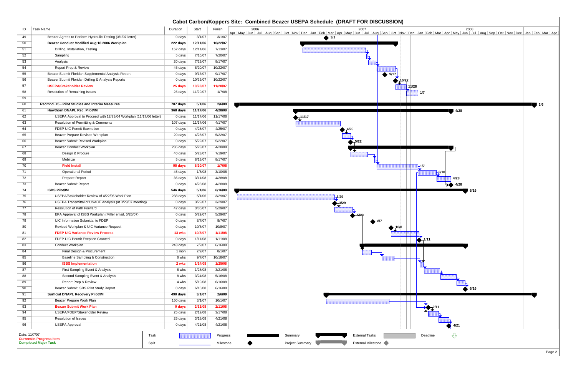|               |                                                                    |          |                              |           | Cabot Carbon/Koppers Site: Combined Beazer USEPA Schedule (DRAFT FOR DISCUSSION)                                                                                                                                                             |
|---------------|--------------------------------------------------------------------|----------|------------------------------|-----------|----------------------------------------------------------------------------------------------------------------------------------------------------------------------------------------------------------------------------------------------|
| ID            | Task Name                                                          | Duration | Start                        | Finish    | 2006<br>2008<br>2007                                                                                                                                                                                                                         |
| 49            | Beazer Agrees to Perform Hydraulic Testing (3/1/07 letter)         | 0 days   | 3/1/07                       | 3/1/07    | Apr   May   Jun   Jul   Aug   Sep   Oct   Nov   Dec   Jan   Feb   Mar   Apr   May   Jun   Jul   Aug   Sep   Oct   Nov   Dec   Jan   Feb   Mar   Apr   May   Jun   Jul   Aug   Sep   Oct   Nov   Dec   Jan   Feb   Mar   Apr<br>$\bullet$ 3/1 |
| 50            | Beazer Conduct Modified Aug 18 2006 Workplan                       | 222 days | 12/11/06                     | 10/22/07  |                                                                                                                                                                                                                                              |
| 51            | Drilling, Installation, Testing                                    | 152 days | 12/11/06                     | 7/13/07   |                                                                                                                                                                                                                                              |
| 52            | Sampling                                                           | 5 days   | 7/16/07                      | 7/20/07   |                                                                                                                                                                                                                                              |
| 53            | Analysis                                                           | 20 days  | 7/23/07                      | 8/17/07   |                                                                                                                                                                                                                                              |
| 54            | Report Prep & Review                                               | 45 days  | 8/20/07                      | 10/22/07  |                                                                                                                                                                                                                                              |
| 55            | Beazer Submit Floridan Supplemental Analysis Report                | 0 days   | 9/17/07                      | 9/17/07   | $\bullet$ 9/17                                                                                                                                                                                                                               |
| 56            | Beazer Submit Floridan Drilling & Analysis Reports                 | 0 days   | 10/22/07                     | 10/22/07  |                                                                                                                                                                                                                                              |
| 57            | <b>USEPA/Stakeholder Review</b>                                    | 25 days  | 10/23/07                     | 11/28/07  |                                                                                                                                                                                                                                              |
| 58            | Resolution of Remaining Issues                                     | 25 days  | 11/29/07                     | 1/7/08    |                                                                                                                                                                                                                                              |
| 59            |                                                                    |          |                              |           |                                                                                                                                                                                                                                              |
| 60            | Recmnd. #5 - Pilot Studies and Interim Measures                    | 707 days | 5/1/06                       | 2/6/09    | l 2/6                                                                                                                                                                                                                                        |
| 61            | Hawthorn DNAPL Rec. Pilot/IM                                       | 368 days | 11/17/06                     | 4/28/08   | $\Box$<br>$\Box$<br>4/28                                                                                                                                                                                                                     |
| 62            | USEPA Approval to Proceed with 12/23/04 Workplan (11/17/06 letter) | 0 days   | 11/17/06                     | 11/17/06  | 11/17                                                                                                                                                                                                                                        |
| 63            | Resolution of Permitting & Comments                                | 107 days | 11/17/06                     | 4/17/07   |                                                                                                                                                                                                                                              |
| 64            | FDEP UIC Permit Exemption                                          | 0 days   | 4/25/07                      | 4/25/07   |                                                                                                                                                                                                                                              |
| 65            | Beazer Prepare Revised Workplan                                    | 20 days  | 4/25/07                      | 5/22/07   |                                                                                                                                                                                                                                              |
| 66            | Beazer Submit Revised Workplan                                     | 0 days   | 5/22/07                      | 5/22/07   | $\bigotimes_{1}^{5/22}$                                                                                                                                                                                                                      |
| 67            | Beazer Conduct Workplan                                            | 236 days | 5/23/07                      | 4/28/08   |                                                                                                                                                                                                                                              |
| 68            | Design & Procure                                                   | 40 days  | 5/23/07                      | 7/19/07   |                                                                                                                                                                                                                                              |
| 69            | Mobilize                                                           | 5 days   | 8/13/07                      | 8/17/07   |                                                                                                                                                                                                                                              |
| 70            | <b>Field Install</b>                                               | 95 days  | 8/20/07                      | 1/7/08    | -1/7                                                                                                                                                                                                                                         |
| 71            | <b>Operational Period</b>                                          | 45 days  | 1/8/08                       | 3/10/08   | $-3/10$                                                                                                                                                                                                                                      |
| 72            | <b>Prepare Report</b>                                              | 35 days  | 3/11/08                      | 4/28/08   | 4/28                                                                                                                                                                                                                                         |
| 73            | <b>Beazer Submit Report</b>                                        | 0 days   | 4/28/08                      | 4/28/08   | $\rightarrow$<br>4/28                                                                                                                                                                                                                        |
| 74            | <b>ISBS Pilot/IM</b>                                               | 546 days | 5/1/06                       | 6/16/08   | 6/16                                                                                                                                                                                                                                         |
| 75            | USEPA/Stakeholder Review of 4/22/05 Work Plan                      | 238 days | 5/1/06                       | 3/29/07   | $-3/29$                                                                                                                                                                                                                                      |
| 76            | USEPA Transmittal of USACE Analysis (at 3/29/07 meeting)           | 0 days   | 3/29/07                      | 3/29/07   |                                                                                                                                                                                                                                              |
| 77            | Resolution of Path Forward                                         | 42 days  | 3/30/07                      | 5/29/07   |                                                                                                                                                                                                                                              |
| 78            | EPA Approval of ISBS Workplan (Miller email, 5/26/07)              | 0 days   | 5/29/07                      | 5/29/07   | 5/29                                                                                                                                                                                                                                         |
| 79            | UIC Information Submittal to FDEP                                  | 0 days   | 8/7/07                       | 8/7/07    | ● 8/7                                                                                                                                                                                                                                        |
| 80            | Revised Workplan & UIC Variance Request                            | 0 days   | 10/8/07                      | 10/8/07   | $-10.8$                                                                                                                                                                                                                                      |
| 81            | <b>FDEP UIC Variance Review Process</b>                            | 13 wks   | 10/8/07                      | 1/11/08   | $\blacktriangleright$                                                                                                                                                                                                                        |
| 82            | FDEP UIC Permit Exeption Granted                                   | 0 days   | 1/11/08                      | 1/11/08   | $\sum_{1/11}$                                                                                                                                                                                                                                |
| 83            | <b>Conduct Workplan</b>                                            | 243 days | 7/2/07                       | 6/16/08   |                                                                                                                                                                                                                                              |
| 84            | Final Design & Procurement                                         | 1 mon    | 7/2/07                       | 8/1/07    |                                                                                                                                                                                                                                              |
| 85            | <b>Baseline Sampling &amp; Construction</b>                        | 6 wks    | 9/7/07                       | 10/18/07  |                                                                                                                                                                                                                                              |
| 86            | <b>ISBS Implementation</b>                                         | 2 wks    | 1/14/08                      | 1/25/08   |                                                                                                                                                                                                                                              |
| 87            | First Sampling Event & Analysis                                    | 8 wks    | 1/28/08                      | 3/21/08   |                                                                                                                                                                                                                                              |
| 88            | Second Sampling Event & Analysis                                   | 8 wks    | 3/24/08                      | 5/16/08   |                                                                                                                                                                                                                                              |
| 89            | Report Prep & Review                                               | 4 wks    | 5/19/08                      | 6/16/08   |                                                                                                                                                                                                                                              |
| 90            | Beazer Submit ISBS Pilot Study Report                              | 0 days   | 6/16/08                      | 6/16/08   | 6/16                                                                                                                                                                                                                                         |
| 91            | <b>Surficial DNAPL Recovery Pilot/IM</b>                           | 490 days | 3/1/07                       | 2/6/09    |                                                                                                                                                                                                                                              |
| 92            | Beazer Prepare Work Plan                                           | 150 days | 3/1/07                       | 10/1/07   |                                                                                                                                                                                                                                              |
| 93            | <b>Beazer Submit Work Plan</b>                                     | 0 days   | 2/11/08                      | 2/11/08   |                                                                                                                                                                                                                                              |
| 94            | USEPA/FDEP/Stakeholder Review                                      | 25 days  | 2/12/08                      | 3/17/08   |                                                                                                                                                                                                                                              |
| 95            | Resolution of Issues                                               | 25 days  | 3/18/08                      | 4/21/08   |                                                                                                                                                                                                                                              |
| 96            | <b>USEPA Approval</b>                                              | 0 days   | 4/21/08                      | 4/21/08   | $\bigoplus_{1}^{4/21}$                                                                                                                                                                                                                       |
| Date: 11/7/07 | Task<br><b>Current/In-Progress Item</b>                            |          |                              | Progress  | $\overline{\mathcal{L}}$<br><b>External Tasks</b><br>Deadline<br>Summary                                                                                                                                                                     |
|               | <b>Completed Major Task</b><br>Split                               |          | ,,,,,,,,,,,,,,,,,,,,,,,,,,,, | Milestone | External Milestone<br><b>Project Summary</b>                                                                                                                                                                                                 |

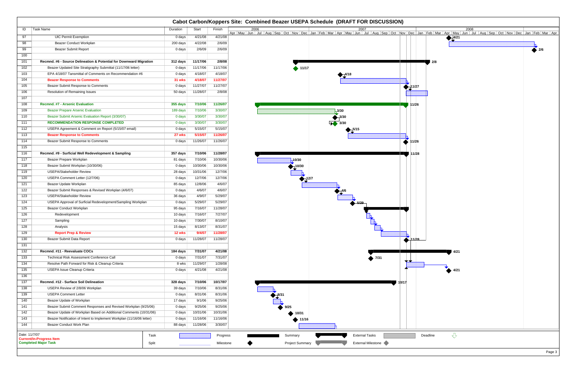|                  |                                                                       |          |                              |           | Cabot Carbon/Koppers Site: Combined Beazer USEPA Schedule (DRAFT FOR DISCUSSION)                                                                                                                                            |
|------------------|-----------------------------------------------------------------------|----------|------------------------------|-----------|-----------------------------------------------------------------------------------------------------------------------------------------------------------------------------------------------------------------------------|
| ID               | Task Name                                                             | Duration | Start                        | Finish    | 2006<br>2008<br>2007                                                                                                                                                                                                        |
| 97               | <b>UIC Permit Exemption</b>                                           | 0 days   | 4/21/08                      | 4/21/08   | Apr   May   Jun   Jul   Aug   Sep   Oct   Nov   Dec   Jan   Feb   Mar   Apr   May   Jun   Jul   Aug   Sep   Oct   Nov   Dec   Jan   Feb   Mar   Apr   May   Jun   Jul   Aug   Sep   Oct   Nov   Dec   Jan   Feb   Mar   Apr |
| 98               | <b>Beazer Conduct Workplan</b>                                        | 200 days | 4/22/08                      | 2/6/09    | 4/21                                                                                                                                                                                                                        |
| 99               | <b>Beazer Submit Report</b>                                           | 0 days   | 2/6/09                       | 2/6/09    |                                                                                                                                                                                                                             |
| 100              |                                                                       |          |                              |           |                                                                                                                                                                                                                             |
| 101              | Recmnd. #6 - Source Delineation & Potential for Downward Migration    | 312 days | 11/17/06                     | 2/8/08    | 2/8                                                                                                                                                                                                                         |
| 102              | Beazer Updated Site Stratigraphy Submittal (11/17/06 letter)          | 0 days   | 11/17/06                     | 11/17/06  | 411/17                                                                                                                                                                                                                      |
| 103              | EPA 4/18/07 Tansmittal of Comments on Recommendation #6               | 0 days   | 4/18/07                      | 4/18/07   | $+4/18$                                                                                                                                                                                                                     |
| 104              | <b>Beazer Response to Comments</b>                                    | 31 wks   | 4/18/07                      | 11/27/07  |                                                                                                                                                                                                                             |
| 105              | Beazer Submit Response to Comments                                    | 0 days   | 11/27/07                     | 11/27/07  | 11/27                                                                                                                                                                                                                       |
| 106              | Resolution of Remaining Issues                                        | 50 days  | 11/28/07                     | 2/8/08    |                                                                                                                                                                                                                             |
| 107              |                                                                       |          |                              |           |                                                                                                                                                                                                                             |
| 108              | Recmnd. #7 - Arsenic Evaluation                                       | 355 days | 7/10/06                      | 11/26/07  | 11/26                                                                                                                                                                                                                       |
| 109              | <b>Beazer Prepare Arsenic Evaluation</b>                              | 189 days | 7/10/06                      | 3/30/07   | $-3/30$                                                                                                                                                                                                                     |
| 110              | Beazer Submit Arsenic Evaluation Report (3/30/07)                     | 0 days   | 3/30/07                      | 3/30/07   | $-3/30$                                                                                                                                                                                                                     |
| 111              | <b>RECOMMENDATION RESPONSE COMPLETED</b>                              | 0 days   | 3/30/07                      | 3/30/07   |                                                                                                                                                                                                                             |
| 112              | USEPA Agreement & Comment on Report (5/15/07 email)                   | 0 days   | 5/15/07                      | 5/15/07   |                                                                                                                                                                                                                             |
| 113              | <b>Beazer Response to Comments</b>                                    | 27 wks   | 5/15/07                      | 11/26/07  |                                                                                                                                                                                                                             |
| 114              | Beazer Submit Response to Comments                                    | 0 days   | 11/26/07                     | 11/26/07  | 11/26                                                                                                                                                                                                                       |
| 115              |                                                                       |          |                              |           |                                                                                                                                                                                                                             |
| 116              | Recmnd. #9 - Surficial Well Redevelopment & Sampling                  | 357 days | 7/10/06                      | 11/28/07  | 11/28                                                                                                                                                                                                                       |
| 117              | Beazer Prepare Workplan                                               | 81 days  | 7/10/06                      | 10/30/06  | 10/30                                                                                                                                                                                                                       |
| 118              | Beazer Submit Workplan (10/30/06)                                     | 0 days   | 10/30/06                     | 10/30/06  | $-10/30$                                                                                                                                                                                                                    |
| 119              | <b>USEPA/Stakeholder Review</b>                                       | 28 days  | 10/31/06                     | 12/7/06   |                                                                                                                                                                                                                             |
| 120              | USEPA Comment Letter (12/7/06)                                        | 0 days   | 12/7/06                      | 12/7/06   | $\sum_{127}$                                                                                                                                                                                                                |
| 121              | Beazer Update Workplan                                                | 85 days  | 12/8/06                      | 4/6/07    |                                                                                                                                                                                                                             |
| 122              | Beazer Submit Responses & Revised Workplan (4/6/07)                   | 0 days   | 4/6/07                       | 4/6/07    |                                                                                                                                                                                                                             |
| 123              | <b>USEPA/Stakeholder Review</b>                                       | 36 days  | 4/9/07                       | 5/29/07   |                                                                                                                                                                                                                             |
| 124              | USEPA Approval of Surficial Redevelopment/Sampling Workplan           | 0 days   | 5/29/07                      | 5/29/07   |                                                                                                                                                                                                                             |
| 125              | Beazer Conduct Workplan                                               | 95 days  | 7/16/07                      | 11/28/07  |                                                                                                                                                                                                                             |
| 126              | Redevelopment                                                         | 10 days  | 7/16/07                      | 7/27/07   |                                                                                                                                                                                                                             |
| 127              | Sampling                                                              | 10 days  | 7/30/07                      | 8/10/07   |                                                                                                                                                                                                                             |
| 128              | Analysis                                                              | 15 days  | 8/13/07                      | 8/31/07   |                                                                                                                                                                                                                             |
| 129              | <b>Report Prep &amp; Review</b>                                       | 12 wks   | 9/4/07                       | 11/28/07  |                                                                                                                                                                                                                             |
| 130              | Beazer Submit Data Report                                             | 0 days   | 11/28/07                     | 11/28/07  | 11/28                                                                                                                                                                                                                       |
| 131              |                                                                       |          |                              |           |                                                                                                                                                                                                                             |
| $\frac{132}{ }$  | Recmnd. #11 - Reevaluate COCs                                         | 184 days | 7/31/07                      | 4/21/08   | 14/21                                                                                                                                                                                                                       |
| 133              | Technical Risk Assessment Conference Call                             | 0 days   | 7/31/07                      | 7/31/07   | $\bullet$ 7/31<br>▼▼                                                                                                                                                                                                        |
| $\overline{134}$ | Resolve Path Forward for Risk & Cleanup Criteria                      | 8 wks    | 11/29/07                     | 1/28/08   |                                                                                                                                                                                                                             |
| $\overline{135}$ | USEPA Issue Cleanup Criteria                                          | 0 days   | 4/21/08                      | 4/21/08   | 4/21                                                                                                                                                                                                                        |
| 136              |                                                                       |          |                              |           |                                                                                                                                                                                                                             |
| 137              | Recmnd. #12 - Surface Soil Delineation                                | 328 days | 7/10/06                      | 10/17/07  | 10/17                                                                                                                                                                                                                       |
| 138              | USEPA Review of 2/8/06 Workplan                                       | 39 days  | 7/10/06                      | 8/31/06   |                                                                                                                                                                                                                             |
| 139              | <b>USEPA Comment Letter</b>                                           | 0 days   | 8/31/06                      | 8/31/06   | $\frac{8}{3}$ <sup>8/31</sup>                                                                                                                                                                                               |
| 140              | Beazer Update of Workplan                                             | 17 days  | 9/1/06                       | 9/25/06   |                                                                                                                                                                                                                             |
| 141              | Beazer Submit Comment Responses and Revised Workplan (9/25/06)        | 0 days   | 9/25/06                      | 9/25/06   | 9/25                                                                                                                                                                                                                        |
| 142              | Beazer Update of Workplan Based on Additional Comments (10/31/06)     | 0 days   | 10/31/06                     | 10/31/06  | 10/31                                                                                                                                                                                                                       |
| 143              | Beazer Notification of Intent to Implement Workplan (11/16/06 letter) | 0 days   | 11/16/06                     | 11/16/06  | ↑ 11/16                                                                                                                                                                                                                     |
| 144              | Beazer Conduct Work Plan                                              | 88 days  | 11/28/06                     | 3/30/07   |                                                                                                                                                                                                                             |
| Date: 11/7/07    |                                                                       | Task     |                              | Progress  | $\overline{\mathbb{C}}$<br><b>External Tasks</b><br>Deadline<br>Summary                                                                                                                                                     |
|                  | <b>Current/In-Progress Item</b><br><b>Completed Major Task</b>        | Split    |                              | Milestone | External Milestone<br><b>Project Summary</b>                                                                                                                                                                                |
|                  |                                                                       |          | ,,,,,,,,,,,,,,,,,,,,,,,,,,,, |           |                                                                                                                                                                                                                             |